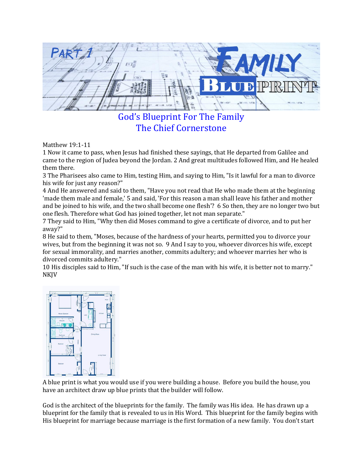God's Blueprint For The Family The Chief Cornerstone

Matthew 19:1-11

1 Now it came to pass, when Jesus had finished these sayings, that He departed from Galilee and came to the region of Judea beyond the Jordan. 2 And great multitudes followed Him, and He healed them there.

3 The Pharisees also came to Him, testing Him, and saying to Him, "Is it lawful for a man to divorce his wife for just any reason?"

4 And He answered and said to them, "Have you not read that He who made them at the beginning 'made them male and female,' 5 and said, 'For this reason a man shall leave his father and mother and be joined to his wife, and the two shall become one flesh'? 6 So then, they are no longer two but one flesh. Therefore what God has joined together, let not man separate."

7 They said to Him, "Why then did Moses command to give a certificate of divorce, and to put her away?"

8 He said to them, "Moses, because of the hardness of your hearts, permitted you to divorce your wives, but from the beginning it was not so. 9 And I say to you, whoever divorces his wife, except for sexual immorality, and marries another, commits adultery; and whoever marries her who is divorced commits adultery."

10 His disciples said to Him, "If such is the case of the man with his wife, it is better not to marry." NKJV



A blue print is what you would use if you were building a house. Before you build the house, you have an architect draw up blue prints that the builder will follow.

God is the architect of the blueprints for the family. The family was His idea. He has drawn up a blueprint for the family that is revealed to us in His Word. This blueprint for the family begins with His blueprint for marriage because marriage is the first formation of a new family. You don't start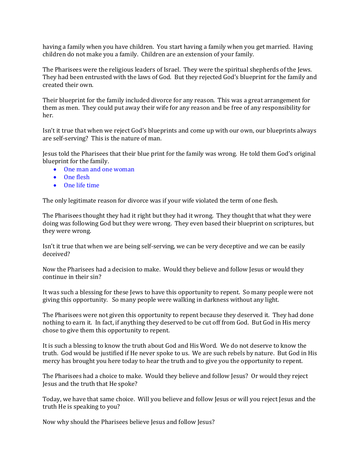having a family when you have children. You start having a family when you get married. Having children do not make you a family. Children are an extension of your family.

The Pharisees were the religious leaders of Israel. They were the spiritual shepherds of the Jews. They had been entrusted with the laws of God. But they rejected God's blueprint for the family and created their own.

Their blueprint for the family included divorce for any reason. This was a great arrangement for them as men. They could put away their wife for any reason and be free of any responsibility for her.

Isn't it true that when we reject God's blueprints and come up with our own, our blueprints always are self-serving? This is the nature of man.

Jesus told the Pharisees that their blue print for the family was wrong. He told them God's original blueprint for the family.

- One man and one woman
- One flesh
- One life time

The only legitimate reason for divorce was if your wife violated the term of one flesh.

The Pharisees thought they had it right but they had it wrong. They thought that what they were doing was following God but they were wrong. They even based their blueprint on scriptures, but they were wrong.

Isn't it true that when we are being self-serving, we can be very deceptive and we can be easily deceived?

Now the Pharisees had a decision to make. Would they believe and follow Jesus or would they continue in their sin?

It was such a blessing for these Jews to have this opportunity to repent. So many people were not giving this opportunity. So many people were walking in darkness without any light.

The Pharisees were not given this opportunity to repent because they deserved it. They had done nothing to earn it. In fact, if anything they deserved to be cut off from God. But God in His mercy chose to give them this opportunity to repent.

It is such a blessing to know the truth about God and His Word. We do not deserve to know the truth. God would be justified if He never spoke to us. We are such rebels by nature. But God in His mercy has brought you here today to hear the truth and to give you the opportunity to repent.

The Pharisees had a choice to make. Would they believe and follow Jesus? Or would they reject Jesus and the truth that He spoke?

Today, we have that same choice. Will you believe and follow Jesus or will you reject Jesus and the truth He is speaking to you?

Now why should the Pharisees believe Jesus and follow Jesus?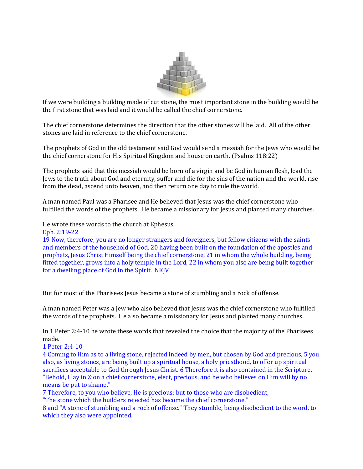

If we were building a building made of cut stone, the most important stone in the building would be the first stone that was laid and it would be called the chief cornerstone.

The chief cornerstone determines the direction that the other stones will be laid. All of the other stones are laid in reference to the chief cornerstone.

The prophets of God in the old testament said God would send a messiah for the Jews who would be the chief cornerstone for His Spiritual Kingdom and house on earth. (Psalms 118:22)

The prophets said that this messiah would be born of a virgin and be God in human flesh, lead the Jews to the truth about God and eternity, suffer and die for the sins of the nation and the world, rise from the dead, ascend unto heaven, and then return one day to rule the world.

A man named Paul was a Pharisee and He believed that Jesus was the chief cornerstone who fulfilled the words of the prophets. He became a missionary for Jesus and planted many churches.

He wrote these words to the church at Ephesus.

Eph. 2:19-22

19 Now, therefore, you are no longer strangers and foreigners, but fellow citizens with the saints and members of the household of God, 20 having been built on the foundation of the apostles and prophets, Jesus Christ Himself being the chief cornerstone, 21 in whom the whole building, being fitted together, grows into a holy temple in the Lord, 22 in whom you also are being built together for a dwelling place of God in the Spirit. NKJV

But for most of the Pharisees Jesus became a stone of stumbling and a rock of offense.

A man named Peter was a Jew who also believed that Jesus was the chief cornerstone who fulfilled the words of the prophets. He also became a missionary for Jesus and planted many churches.

In 1 Peter 2:4-10 he wrote these words that revealed the choice that the majority of the Pharisees made.

## 1 Peter 2:4-10

4 Coming to Him as to a living stone, rejected indeed by men, but chosen by God and precious, 5 you also, as living stones, are being built up a spiritual house, a holy priesthood, to offer up spiritual sacrifices acceptable to God through Jesus Christ. 6 Therefore it is also contained in the Scripture, "Behold, I lay in Zion a chief cornerstone, elect, precious, and he who believes on Him will by no means be put to shame."

7 Therefore, to you who believe, He is precious; but to those who are disobedient,

"The stone which the builders rejected has become the chief cornerstone,"

8 and "A stone of stumbling and a rock of offense." They stumble, being disobedient to the word, to which they also were appointed.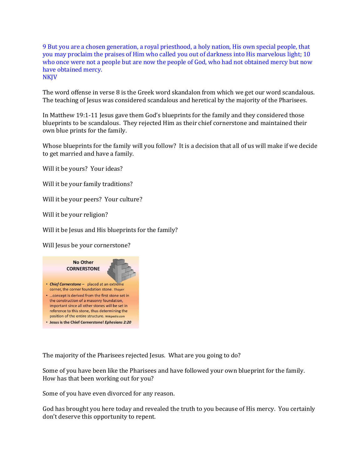9 But you are a chosen generation, a royal priesthood, a holy nation, His own special people, that you may proclaim the praises of Him who called you out of darkness into His marvelous light; 10 who once were not a people but are now the people of God, who had not obtained mercy but now have obtained mercy. NKJV

The word offense in verse 8 is the Greek word skandalon from which we get our word scandalous. The teaching of Jesus was considered scandalous and heretical by the majority of the Pharisees.

In Matthew 19:1-11 Jesus gave them God's blueprints for the family and they considered those blueprints to be scandalous. They rejected Him as their chief cornerstone and maintained their own blue prints for the family.

Whose blueprints for the family will you follow? It is a decision that all of us will make if we decide to get married and have a family.

Will it be yours? Your ideas?

Will it be your family traditions?

Will it be your peers? Your culture?

Will it be your religion?

Will it be Jesus and His blueprints for the family?

Will Jesus be your cornerstone?



The majority of the Pharisees rejected Jesus. What are you going to do?

Some of you have been like the Pharisees and have followed your own blueprint for the family. How has that been working out for you?

Some of you have even divorced for any reason.

God has brought you here today and revealed the truth to you because of His mercy. You certainly don't deserve this opportunity to repent.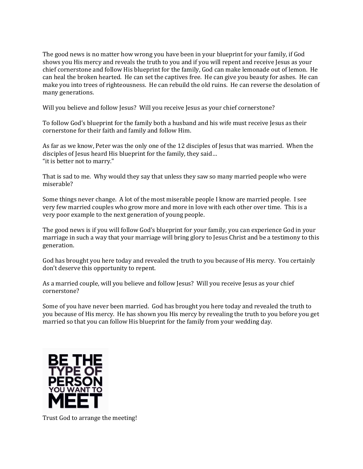The good news is no matter how wrong you have been in your blueprint for your family, if God shows you His mercy and reveals the truth to you and if you will repent and receive Jesus as your chief cornerstone and follow His blueprint for the family, God can make lemonade out of lemon. He can heal the broken hearted. He can set the captives free. He can give you beauty for ashes. He can make you into trees of righteousness. He can rebuild the old ruins. He can reverse the desolation of many generations.

Will you believe and follow Jesus? Will you receive Jesus as your chief cornerstone?

To follow God's blueprint for the family both a husband and his wife must receive Jesus as their cornerstone for their faith and family and follow Him.

As far as we know, Peter was the only one of the 12 disciples of Jesus that was married. When the disciples of Jesus heard His blueprint for the family, they said… "it is better not to marry."

That is sad to me. Why would they say that unless they saw so many married people who were miserable?

Some things never change. A lot of the most miserable people I know are married people. I see very few married couples who grow more and more in love with each other over time. This is a very poor example to the next generation of young people.

The good news is if you will follow God's blueprint for your family, you can experience God in your marriage in such a way that your marriage will bring glory to Jesus Christ and be a testimony to this generation.

God has brought you here today and revealed the truth to you because of His mercy. You certainly don't deserve this opportunity to repent.

As a married couple, will you believe and follow Jesus? Will you receive Jesus as your chief cornerstone?

Some of you have never been married. God has brought you here today and revealed the truth to you because of His mercy. He has shown you His mercy by revealing the truth to you before you get married so that you can follow His blueprint for the family from your wedding day.



Trust God to arrange the meeting!